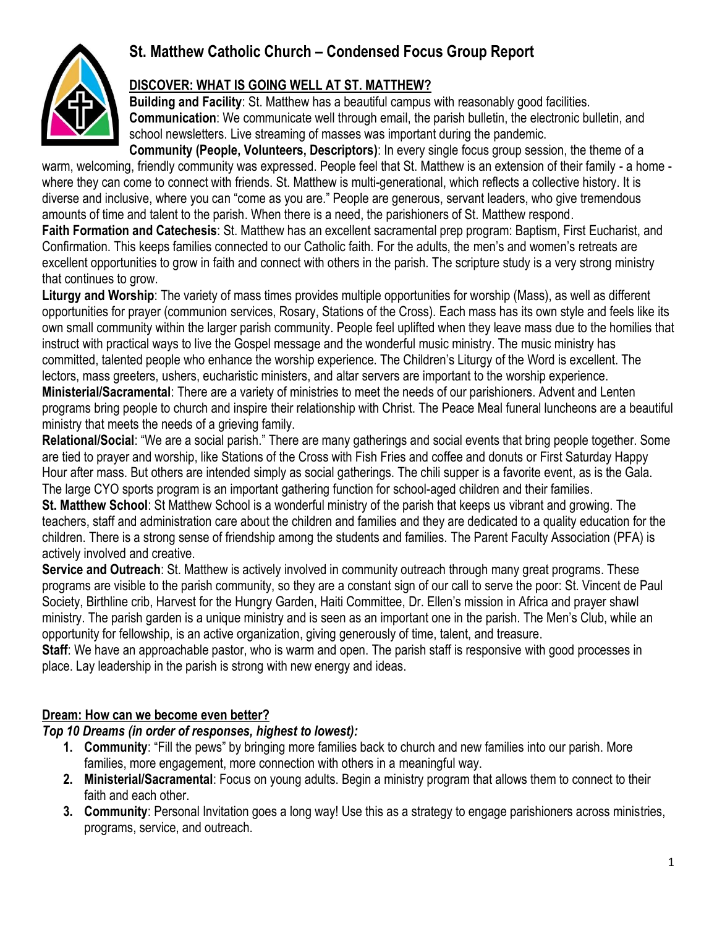# **St. Matthew Catholic Church – Condensed Focus Group Report**



### **DISCOVER: WHAT IS GOING WELL AT ST. MATTHEW?**

**Building and Facility**: St. Matthew has a beautiful campus with reasonably good facilities. **Communication**: We communicate well through email, the parish bulletin, the electronic bulletin, and school newsletters. Live streaming of masses was important during the pandemic.

**Community (People, Volunteers, Descriptors)**: In every single focus group session, the theme of a warm, welcoming, friendly community was expressed. People feel that St. Matthew is an extension of their family - a home where they can come to connect with friends. St. Matthew is multi-generational, which reflects a collective history. It is diverse and inclusive, where you can "come as you are." People are generous, servant leaders, who give tremendous amounts of time and talent to the parish. When there is a need, the parishioners of St. Matthew respond.

**Faith Formation and Catechesis**: St. Matthew has an excellent sacramental prep program: Baptism, First Eucharist, and Confirmation. This keeps families connected to our Catholic faith. For the adults, the men's and women's retreats are excellent opportunities to grow in faith and connect with others in the parish. The scripture study is a very strong ministry that continues to grow.

**Liturgy and Worship**: The variety of mass times provides multiple opportunities for worship (Mass), as well as different opportunities for prayer (communion services, Rosary, Stations of the Cross). Each mass has its own style and feels like its own small community within the larger parish community. People feel uplifted when they leave mass due to the homilies that instruct with practical ways to live the Gospel message and the wonderful music ministry. The music ministry has committed, talented people who enhance the worship experience. The Children's Liturgy of the Word is excellent. The lectors, mass greeters, ushers, eucharistic ministers, and altar servers are important to the worship experience.

**Ministerial/Sacramental**: There are a variety of ministries to meet the needs of our parishioners. Advent and Lenten programs bring people to church and inspire their relationship with Christ. The Peace Meal funeral luncheons are a beautiful ministry that meets the needs of a grieving family.

**Relational/Social**: "We are a social parish." There are many gatherings and social events that bring people together. Some are tied to prayer and worship, like Stations of the Cross with Fish Fries and coffee and donuts or First Saturday Happy Hour after mass. But others are intended simply as social gatherings. The chili supper is a favorite event, as is the Gala. The large CYO sports program is an important gathering function for school-aged children and their families.

**St. Matthew School**: St Matthew School is a wonderful ministry of the parish that keeps us vibrant and growing. The teachers, staff and administration care about the children and families and they are dedicated to a quality education for the children. There is a strong sense of friendship among the students and families. The Parent Faculty Association (PFA) is actively involved and creative.

**Service and Outreach**: St. Matthew is actively involved in community outreach through many great programs. These programs are visible to the parish community, so they are a constant sign of our call to serve the poor: St. Vincent de Paul Society, Birthline crib, Harvest for the Hungry Garden, Haiti Committee, Dr. Ellen's mission in Africa and prayer shawl ministry. The parish garden is a unique ministry and is seen as an important one in the parish. The Men's Club, while an opportunity for fellowship, is an active organization, giving generously of time, talent, and treasure.

**Staff**: We have an approachable pastor, who is warm and open. The parish staff is responsive with good processes in place. Lay leadership in the parish is strong with new energy and ideas.

### **Dream: How can we become even better?**

### *Top 10 Dreams (in order of responses, highest to lowest):*

- **1. Community**: "Fill the pews" by bringing more families back to church and new families into our parish. More families, more engagement, more connection with others in a meaningful way.
- **2. Ministerial/Sacramental**: Focus on young adults. Begin a ministry program that allows them to connect to their faith and each other.
- **3. Community**: Personal Invitation goes a long way! Use this as a strategy to engage parishioners across ministries, programs, service, and outreach.